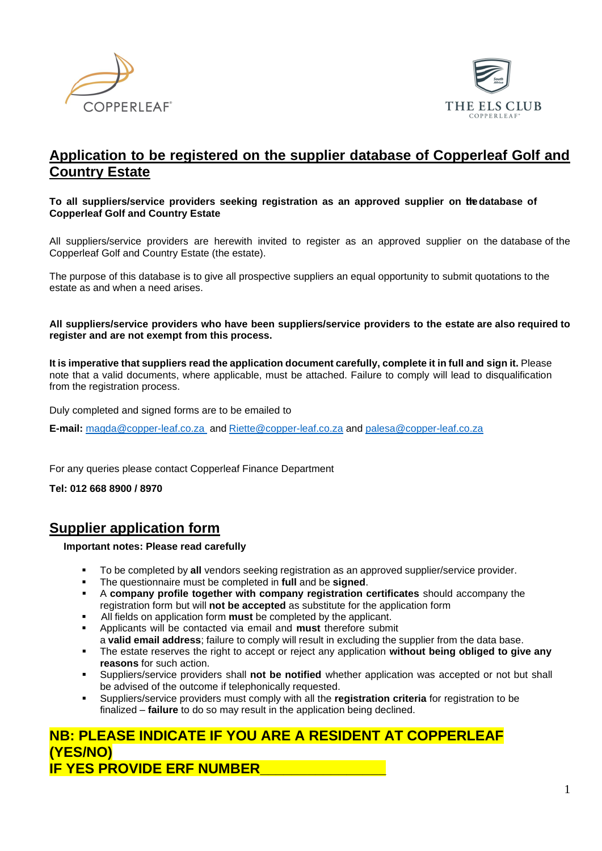



## **Application to be registered on the supplier database of Copperleaf Golf and Country Estate**

#### **To all suppliers/service providers seeking registration as an approved supplier on thhedatabase of Copperleaf Golf and Country Estate**

All suppliers/service providers are herewith invited to register as an approved supplier on the database of the Copperleaf Golf and Country Estate (the estate).

The purpose of this database is to give all prospective suppliers an equal opportunity to submit quotations to the estate as and when a need arises.

#### **All suppliers/service providers who have been suppliers/service providers to the estate are also required to register and are not exempt from this process.**

**It is imperative that suppliers read the application document carefully, complete it in full and sign it.** Please note that a valid documents, where applicable, must be attached. Failure to comply will lead to disqualification from the registration process.

Duly completed and signed forms are to be emailed to

**E-mail:** [magda@copper-leaf.co.za](mailto:magda@copper-leaf.co.za) and [Riette@copper-leaf.co.za](mailto:Riette@copper-leaf.co.za) and [palesa@copper-leaf.co.za](mailto:palesa@copper-leaf.co.za)

For any queries please contact Copperleaf Finance Department

**Tel: 012 668 8900 / 8970**

## **Supplier application form**

**Important notes: Please read carefully**

- To be completed by **all** vendors seeking registration as an approved supplier/service provider.
- The questionnaire must be completed in **full** and be **signed**.
- A **company profile together with company registration certificates** should accompany the registration form but will **not be accepted** as substitute for the application form
- All fields on application form **must** be completed by the applicant.
- Applicants will be contacted via email and **must** therefore submit a **valid email address**; failure to comply will result in excluding the supplier from the data base.
- The estate reserves the right to accept or reject any application **without being obliged to give any reasons** for such action.
- Suppliers/service providers shall **not be notified** whether application was accepted or not but shall be advised of the outcome if telephonically requested.
- Suppliers/service providers must comply with all the **registration criteria** for registration to be finalized – **failure** to do so may result in the application being declined.

## **NB: PLEASE INDICATE IF YOU ARE A RESIDENT AT COPPERLEAF (YES/NO) IF YES PROVIDE ERF NUMBER\_\_\_\_\_\_\_\_\_\_\_\_\_\_\_\_**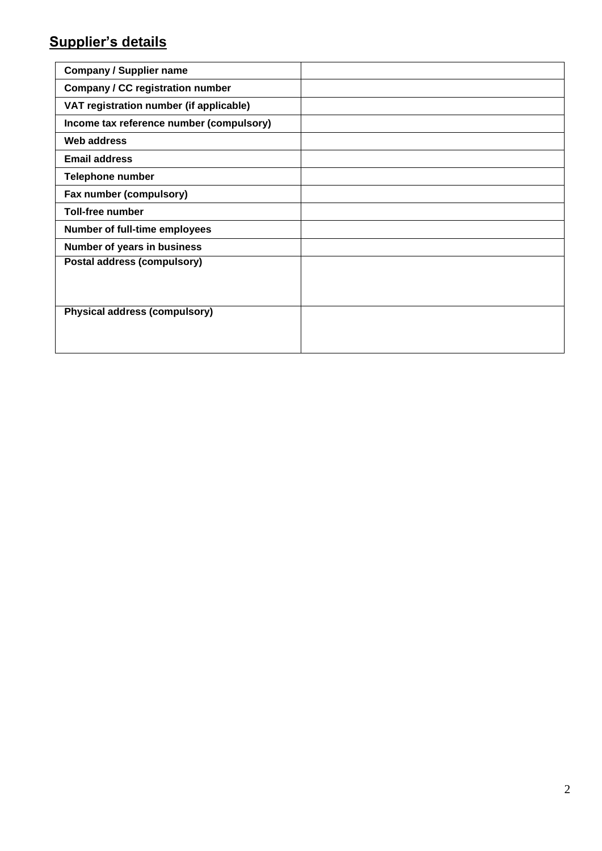# **Supplier's details**

| <b>Company / Supplier name</b>           |  |
|------------------------------------------|--|
| <b>Company / CC registration number</b>  |  |
| VAT registration number (if applicable)  |  |
| Income tax reference number (compulsory) |  |
| Web address                              |  |
| <b>Email address</b>                     |  |
| <b>Telephone number</b>                  |  |
| Fax number (compulsory)                  |  |
| <b>Toll-free number</b>                  |  |
| Number of full-time employees            |  |
| Number of years in business              |  |
| Postal address (compulsory)              |  |
|                                          |  |
|                                          |  |
| <b>Physical address (compulsory)</b>     |  |
|                                          |  |
|                                          |  |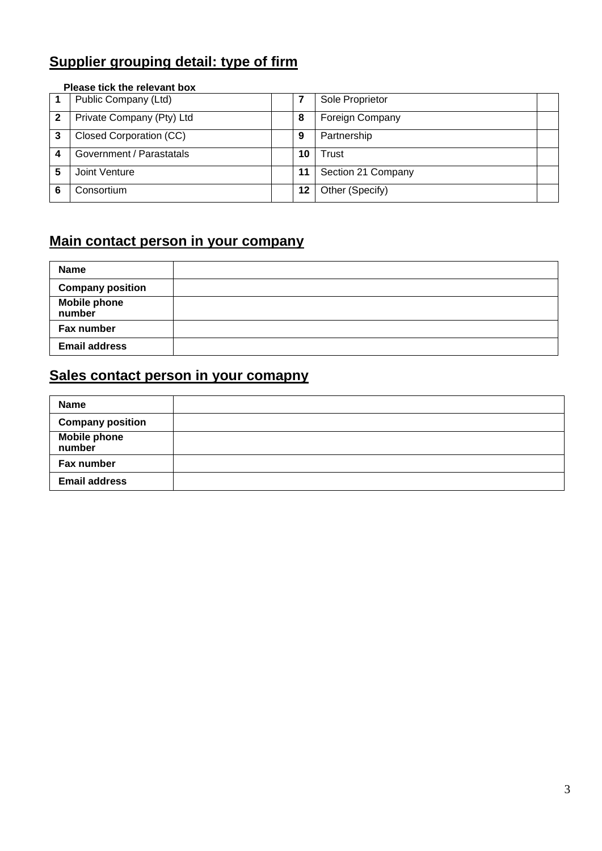# **Supplier grouping detail: type of firm**

# **Please tick the relevant box 1** Public Company (Ltd) **7** Sole Proprietor **2** Private Company (Pty) Ltd **8** Foreign Company **3** Closed Corporation (CC) **9** Partnership **4** Government / Parastatals **10** Trust **5** Joint Venture **11 11** Section 21 Company **6** Consortium **12** Other (Specify)

# **Main contact person in your company**

| <b>Name</b>                   |  |
|-------------------------------|--|
| <b>Company position</b>       |  |
| <b>Mobile phone</b><br>number |  |
| Fax number                    |  |
| <b>Email address</b>          |  |

# **Sales contact person in your comapny**

| <b>Name</b>                   |  |
|-------------------------------|--|
| <b>Company position</b>       |  |
| <b>Mobile phone</b><br>number |  |
| Fax number                    |  |
| <b>Email address</b>          |  |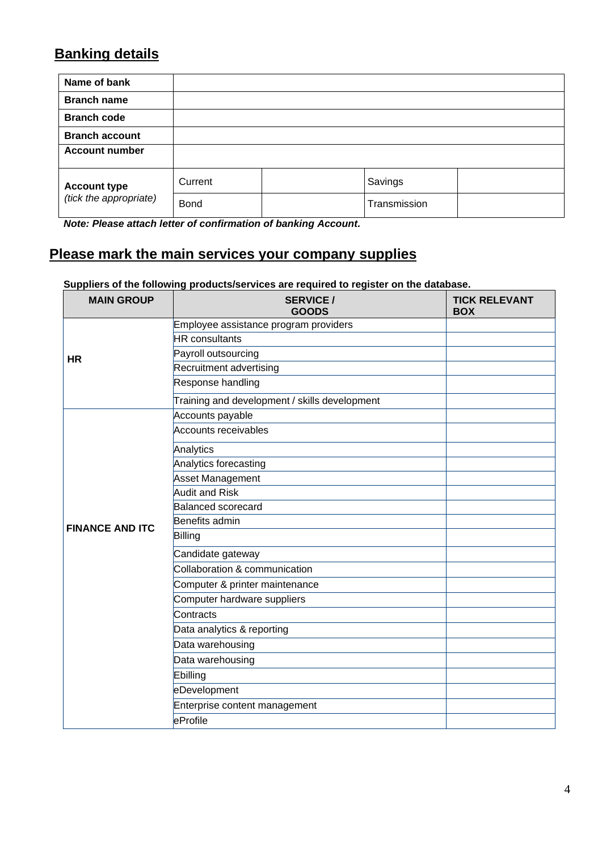# **Banking details**

| Name of bank                                  |             |              |  |
|-----------------------------------------------|-------------|--------------|--|
| <b>Branch name</b>                            |             |              |  |
| <b>Branch code</b>                            |             |              |  |
| <b>Branch account</b>                         |             |              |  |
| <b>Account number</b>                         |             |              |  |
| <b>Account type</b><br>(tick the appropriate) | Current     | Savings      |  |
|                                               | <b>Bond</b> | Transmission |  |

*Note: Please attach letter of confirmation of banking Account.*

# **Please mark the main services your company supplies**

**Suppliers of the following products/services are required to register on the database.**

| <b>MAIN GROUP</b>      | <b>SERVICE/</b><br><b>GOODS</b>               | <b>TICK RELEVANT</b><br><b>BOX</b> |
|------------------------|-----------------------------------------------|------------------------------------|
|                        | Employee assistance program providers         |                                    |
|                        | <b>HR</b> consultants                         |                                    |
| HR                     | Payroll outsourcing                           |                                    |
|                        | Recruitment advertising                       |                                    |
|                        | Response handling                             |                                    |
|                        | Training and development / skills development |                                    |
|                        | Accounts payable                              |                                    |
|                        | Accounts receivables                          |                                    |
|                        | Analytics                                     |                                    |
|                        | Analytics forecasting                         |                                    |
|                        | Asset Management                              |                                    |
|                        | <b>Audit and Risk</b>                         |                                    |
|                        | <b>Balanced scorecard</b>                     |                                    |
| <b>FINANCE AND ITC</b> | Benefits admin                                |                                    |
|                        | Billing                                       |                                    |
|                        | Candidate gateway                             |                                    |
|                        | Collaboration & communication                 |                                    |
|                        | Computer & printer maintenance                |                                    |
|                        | Computer hardware suppliers                   |                                    |
|                        | Contracts                                     |                                    |
|                        | Data analytics & reporting                    |                                    |
|                        | Data warehousing                              |                                    |
|                        | Data warehousing                              |                                    |
|                        | Ebilling                                      |                                    |
|                        | eDevelopment                                  |                                    |
|                        | Enterprise content management                 |                                    |
|                        | eProfile                                      |                                    |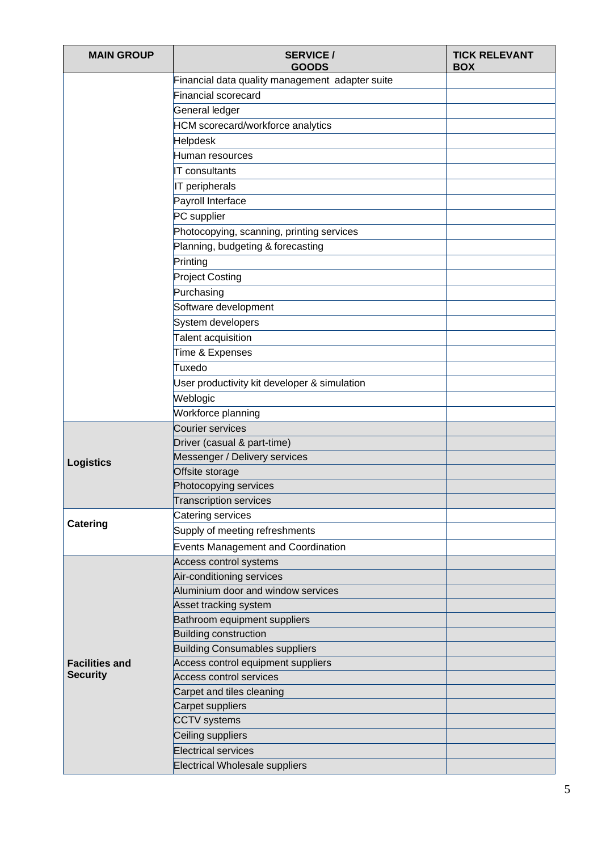| <b>MAIN GROUP</b>     | <b>SERVICE/</b><br><b>GOODS</b>                 | <b>TICK RELEVANT</b><br><b>BOX</b> |
|-----------------------|-------------------------------------------------|------------------------------------|
|                       | Financial data quality management adapter suite |                                    |
|                       | <b>Financial scorecard</b>                      |                                    |
|                       | General ledger                                  |                                    |
|                       | <b>HCM</b> scorecard/workforce analytics        |                                    |
|                       | <b>Helpdesk</b>                                 |                                    |
|                       | Human resources                                 |                                    |
|                       | <b>T</b> consultants                            |                                    |
|                       | IT peripherals                                  |                                    |
|                       | Payroll Interface                               |                                    |
|                       | PC supplier                                     |                                    |
|                       | Photocopying, scanning, printing services       |                                    |
|                       | Planning, budgeting & forecasting               |                                    |
|                       | Printing                                        |                                    |
|                       | <b>Project Costing</b>                          |                                    |
|                       | Purchasing                                      |                                    |
|                       | Software development                            |                                    |
|                       | System developers                               |                                    |
|                       | Talent acquisition                              |                                    |
|                       | Time & Expenses                                 |                                    |
|                       | Tuxedo                                          |                                    |
|                       | User productivity kit developer & simulation    |                                    |
|                       | Weblogic                                        |                                    |
|                       | Workforce planning                              |                                    |
|                       | <b>Courier services</b>                         |                                    |
|                       | Driver (casual & part-time)                     |                                    |
| <b>Logistics</b>      | Messenger / Delivery services                   |                                    |
|                       | Offsite storage                                 |                                    |
|                       | Photocopying services                           |                                    |
|                       | <b>Transcription services</b>                   |                                    |
| <b>Catering</b>       | Catering services                               |                                    |
|                       | Supply of meeting refreshments                  |                                    |
|                       | <b>Events Management and Coordination</b>       |                                    |
|                       | Access control systems                          |                                    |
|                       | Air-conditioning services                       |                                    |
|                       | Aluminium door and window services              |                                    |
|                       | Asset tracking system                           |                                    |
|                       | Bathroom equipment suppliers                    |                                    |
|                       | Building construction                           |                                    |
|                       | <b>Building Consumables suppliers</b>           |                                    |
| <b>Facilities and</b> | Access control equipment suppliers              |                                    |
| <b>Security</b>       | <b>Access control services</b>                  |                                    |
|                       | Carpet and tiles cleaning                       |                                    |
|                       | Carpet suppliers                                |                                    |
|                       | <b>CCTV</b> systems                             |                                    |
|                       | Ceiling suppliers                               |                                    |
|                       | <b>Electrical services</b>                      |                                    |
|                       | <b>Electrical Wholesale suppliers</b>           |                                    |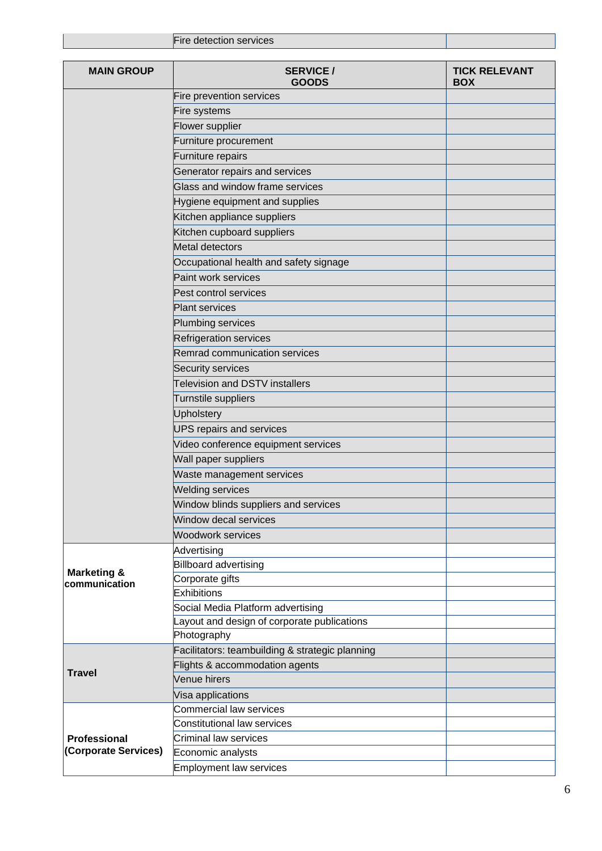|                                             | Fire detection services                           |                                    |
|---------------------------------------------|---------------------------------------------------|------------------------------------|
| <b>MAIN GROUP</b>                           | <b>SERVICE/</b><br><b>GOODS</b>                   | <b>TICK RELEVANT</b><br><b>BOX</b> |
|                                             | Fire prevention services                          |                                    |
|                                             | Fire systems                                      |                                    |
|                                             | Flower supplier                                   |                                    |
|                                             | Furniture procurement                             |                                    |
|                                             | Furniture repairs                                 |                                    |
|                                             | Generator repairs and services                    |                                    |
|                                             | Glass and window frame services                   |                                    |
|                                             | Hygiene equipment and supplies                    |                                    |
|                                             | Kitchen appliance suppliers                       |                                    |
|                                             | Kitchen cupboard suppliers                        |                                    |
|                                             | Metal detectors                                   |                                    |
|                                             | Occupational health and safety signage            |                                    |
|                                             | Paint work services                               |                                    |
|                                             | Pest control services                             |                                    |
|                                             | <b>Plant services</b>                             |                                    |
|                                             | Plumbing services                                 |                                    |
|                                             | Refrigeration services                            |                                    |
|                                             | Remrad communication services                     |                                    |
|                                             | Security services                                 |                                    |
|                                             | <b>Television and DSTV installers</b>             |                                    |
|                                             | Turnstile suppliers                               |                                    |
|                                             | <b>Upholstery</b>                                 |                                    |
|                                             | <b>UPS repairs and services</b>                   |                                    |
|                                             | Video conference equipment services               |                                    |
|                                             | Wall paper suppliers                              |                                    |
|                                             | Waste management services                         |                                    |
|                                             | <b>Welding services</b>                           |                                    |
|                                             | Window blinds suppliers and services              |                                    |
|                                             | Window decal services                             |                                    |
|                                             | <b>Woodwork services</b>                          |                                    |
|                                             | Advertising                                       |                                    |
|                                             | <b>Billboard advertising</b>                      |                                    |
| <b>Marketing &amp;</b><br>communication     | Corporate gifts                                   |                                    |
|                                             | Exhibitions                                       |                                    |
|                                             | Social Media Platform advertising                 |                                    |
|                                             | Layout and design of corporate publications       |                                    |
|                                             | Photography                                       |                                    |
|                                             | Facilitators: teambuilding & strategic planning   |                                    |
| <b>Travel</b>                               | Flights & accommodation agents                    |                                    |
|                                             | Venue hirers                                      |                                    |
|                                             | Visa applications                                 |                                    |
|                                             | <b>Commercial law services</b>                    |                                    |
|                                             | <b>Constitutional law services</b>                |                                    |
| <b>Professional</b><br>(Corporate Services) | <b>Criminal law services</b><br>Economic analysts |                                    |
|                                             | Employment law services                           |                                    |
|                                             |                                                   |                                    |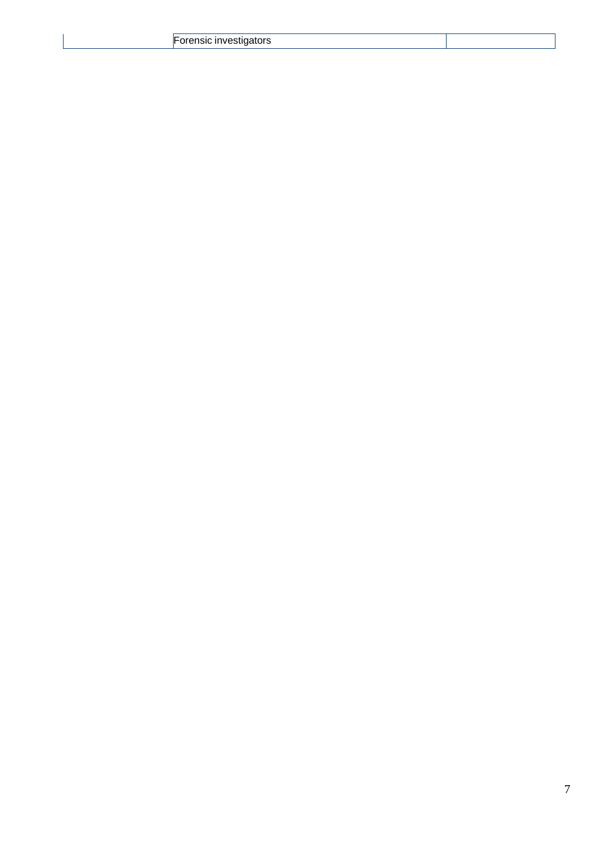|  | --- |  |  |  |
|--|-----|--|--|--|
|--|-----|--|--|--|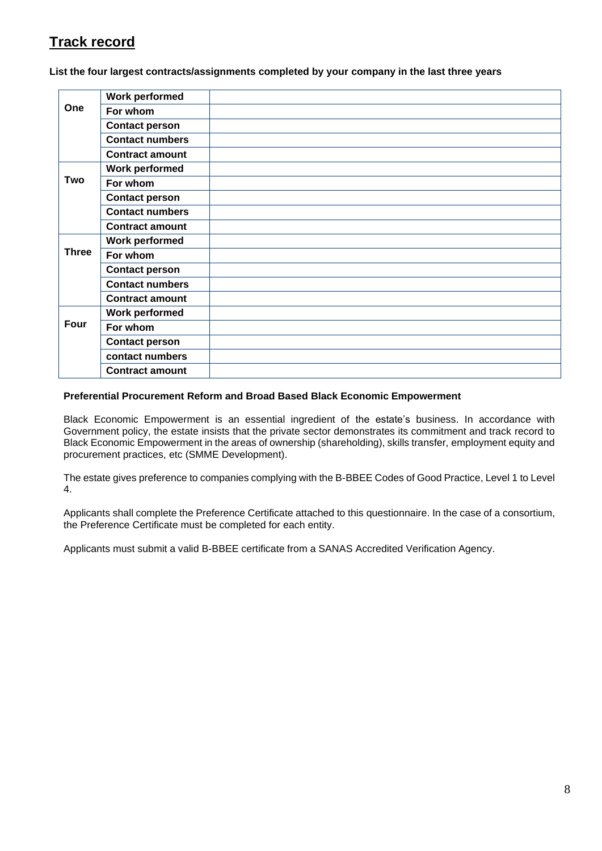# **Track record**

**List the four largest contracts/assignments completed by your company in the last three years**

|              | <b>Work performed</b>  |  |
|--------------|------------------------|--|
| One          | For whom               |  |
|              | <b>Contact person</b>  |  |
|              | <b>Contact numbers</b> |  |
|              | <b>Contract amount</b> |  |
|              | <b>Work performed</b>  |  |
| <b>Two</b>   | For whom               |  |
|              | <b>Contact person</b>  |  |
|              | <b>Contact numbers</b> |  |
|              | <b>Contract amount</b> |  |
|              | <b>Work performed</b>  |  |
| <b>Three</b> | For whom               |  |
|              | <b>Contact person</b>  |  |
|              | <b>Contact numbers</b> |  |
|              | <b>Contract amount</b> |  |
|              | <b>Work performed</b>  |  |
| Four         | For whom               |  |
|              | <b>Contact person</b>  |  |
|              | contact numbers        |  |
|              | <b>Contract amount</b> |  |

#### **Preferential Procurement Reform and Broad Based Black Economic Empowerment**

Black Economic Empowerment is an essential ingredient of the estate's business. In accordance with Government policy, the estate insists that the private sector demonstrates its commitment and track record to Black Economic Empowerment in the areas of ownership (shareholding), skills transfer, employment equity and procurement practices, etc (SMME Development).

The estate gives preference to companies complying with the B-BBEE Codes of Good Practice, Level 1 to Level 4.

Applicants shall complete the Preference Certificate attached to this questionnaire. In the case of a consortium, the Preference Certificate must be completed for each entity.

Applicants must submit a valid B-BBEE certificate from a SANAS Accredited Verification Agency.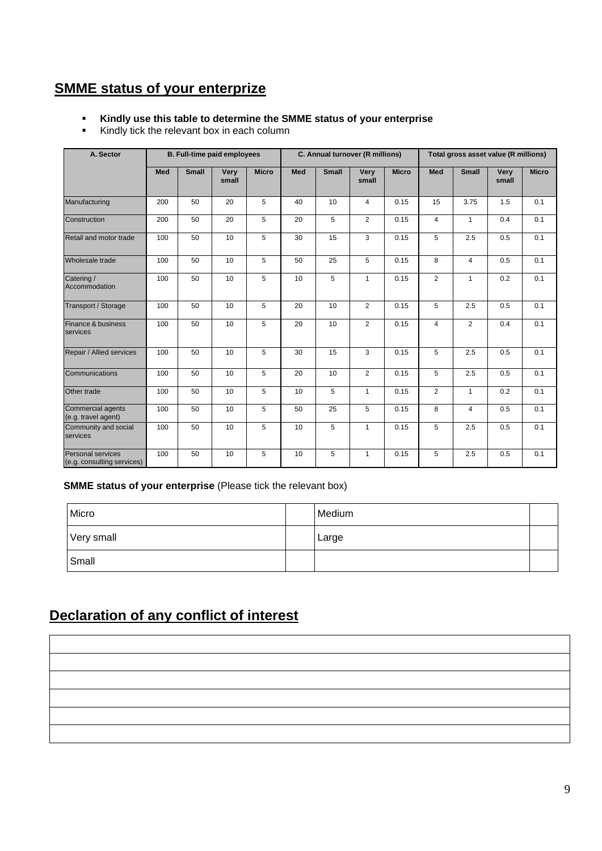# **SMME status of your enterprize**

#### ▪ **Kindly use this table to determine the SMME status of your enterprise**

▪ Kindly tick the relevant box in each column

| A. Sector                                       |     | <b>B. Full-time paid employees</b> |               |              |     | C. Annual turnover (R millions) |                |              |                | Total gross asset value (R millions) |               |              |
|-------------------------------------------------|-----|------------------------------------|---------------|--------------|-----|---------------------------------|----------------|--------------|----------------|--------------------------------------|---------------|--------------|
|                                                 | Med | <b>Small</b>                       | Very<br>small | <b>Micro</b> | Med | <b>Small</b>                    | Very<br>small  | <b>Micro</b> | Med            | <b>Small</b>                         | Very<br>small | <b>Micro</b> |
| Manufacturing                                   | 200 | 50                                 | 20            | 5            | 40  | 10                              | $\overline{4}$ | 0.15         | 15             | 3.75                                 | 1.5           | 0.1          |
| Construction                                    | 200 | 50                                 | 20            | 5            | 20  | 5                               | $\overline{2}$ | 0.15         | 4              | 1                                    | 0.4           | 0.1          |
| Retail and motor trade                          | 100 | 50                                 | 10            | 5            | 30  | 15                              | 3              | 0.15         | 5              | 2.5                                  | 0.5           | 0.1          |
| Wholesale trade                                 | 100 | 50                                 | 10            | 5            | 50  | 25                              | 5              | 0.15         | 8              | $\overline{4}$                       | 0.5           | 0.1          |
| Catering /<br>Accommodation                     | 100 | 50                                 | 10            | 5            | 10  | 5                               | $\mathbf{1}$   | 0.15         | $\overline{2}$ | $\mathbf{1}$                         | 0.2           | 0.1          |
| <b>Transport / Storage</b>                      | 100 | 50                                 | 10            | 5            | 20  | 10                              | $\overline{2}$ | 0.15         | 5              | 2.5                                  | 0.5           | 0.1          |
| Finance & business<br>services                  | 100 | 50                                 | 10            | 5            | 20  | 10                              | $\overline{2}$ | 0.15         | $\overline{4}$ | 2                                    | 0.4           | 0.1          |
| Repair / Allied services                        | 100 | 50                                 | 10            | 5            | 30  | 15                              | 3              | 0.15         | 5              | 2.5                                  | 0.5           | 0.1          |
| Communications                                  | 100 | 50                                 | 10            | 5            | 20  | 10                              | $\overline{2}$ | 0.15         | 5              | 2.5                                  | 0.5           | 0.1          |
| Other trade                                     | 100 | 50                                 | 10            | 5            | 10  | 5                               | $\mathbf{1}$   | 0.15         | $\overline{2}$ | $\mathbf{1}$                         | 0.2           | 0.1          |
| Commercial agents<br>(e.g. travel agent)        | 100 | 50                                 | 10            | 5            | 50  | 25                              | 5              | 0.15         | 8              | 4                                    | 0.5           | 0.1          |
| Community and social<br>services                | 100 | 50                                 | 10            | 5            | 10  | 5                               | $\mathbf{1}$   | 0.15         | 5              | 2.5                                  | 0.5           | 0.1          |
| Personal services<br>(e.g. consulting services) | 100 | 50                                 | 10            | 5            | 10  | 5                               | $\mathbf{1}$   | 0.15         | 5              | 2.5                                  | 0.5           | 0.1          |

#### **SMME status of your enterprise** (Please tick the relevant box)

| Micro      | Medium |  |
|------------|--------|--|
| Very small | Large  |  |
| Small      |        |  |

# **Declaration of any conflict of interest**

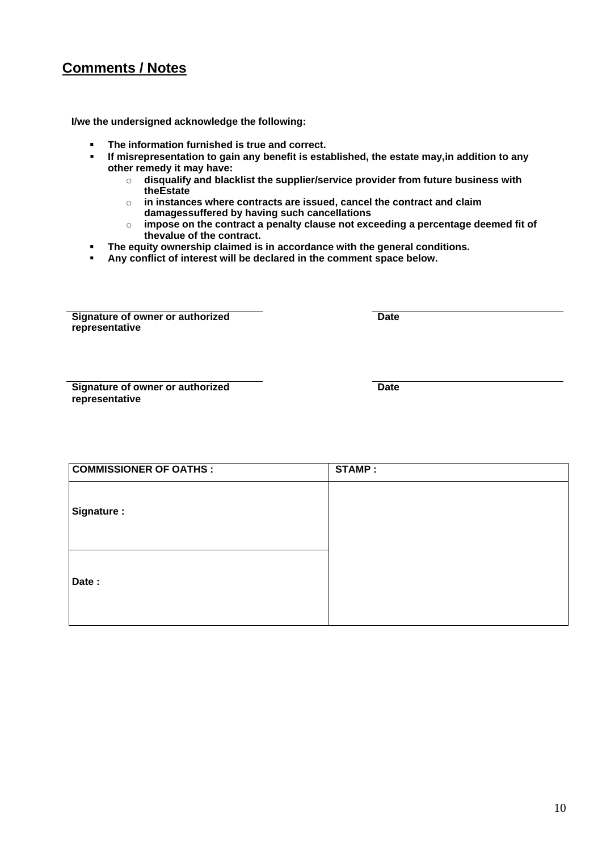# **Comments / Notes**

**I/we the undersigned acknowledge the following:**

- **The information furnished is true and correct.**
- **If misrepresentation to gain any benefit is established, the estate may,in addition to any other remedy it may have:**
	- o **disqualify and blacklist the supplier/service provider from future business with theEstate**
	- o **in instances where contracts are issued, cancel the contract and claim damagessuffered by having such cancellations**
	- o **impose on the contract a penalty clause not exceeding a percentage deemed fit of thevalue of the contract.**
- **The equity ownership claimed is in accordance with the general conditions.**
- **Any conflict of interest will be declared in the comment space below.**

**Signature of owner or authorized representative**

**Date**

**Signature of owner or authorized representative**

**Date**

| <b>COMMISSIONER OF OATHS:</b> | <b>STAMP:</b> |
|-------------------------------|---------------|
|                               |               |
| Signature :                   |               |
|                               |               |
|                               |               |
|                               |               |
| Date:                         |               |
|                               |               |
|                               |               |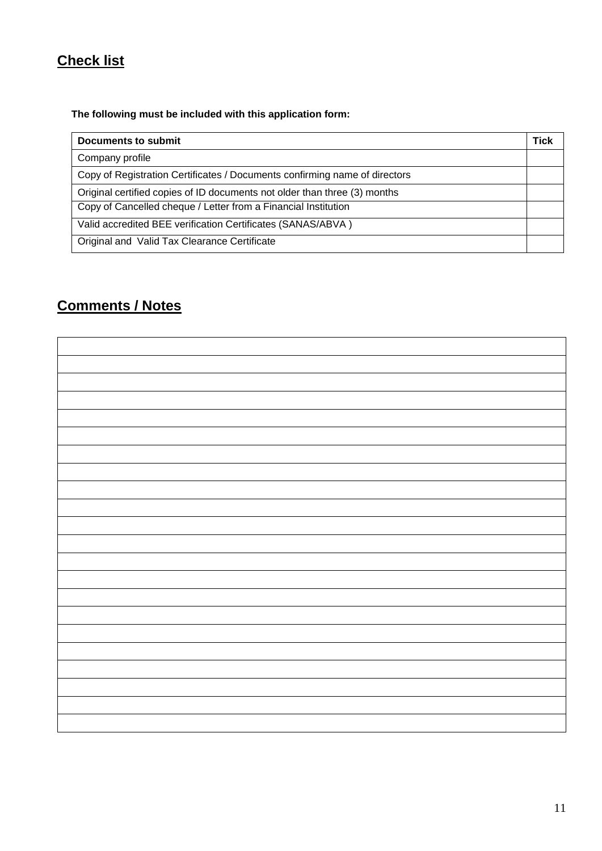# **Check list**

## **The following must be included with this application form:**

| <b>Documents to submit</b>                                                 | Tick |
|----------------------------------------------------------------------------|------|
| Company profile                                                            |      |
| Copy of Registration Certificates / Documents confirming name of directors |      |
| Original certified copies of ID documents not older than three (3) months  |      |
| Copy of Cancelled cheque / Letter from a Financial Institution             |      |
| Valid accredited BEE verification Certificates (SANAS/ABVA)                |      |
| Original and Valid Tax Clearance Certificate                               |      |

# **Comments / Notes**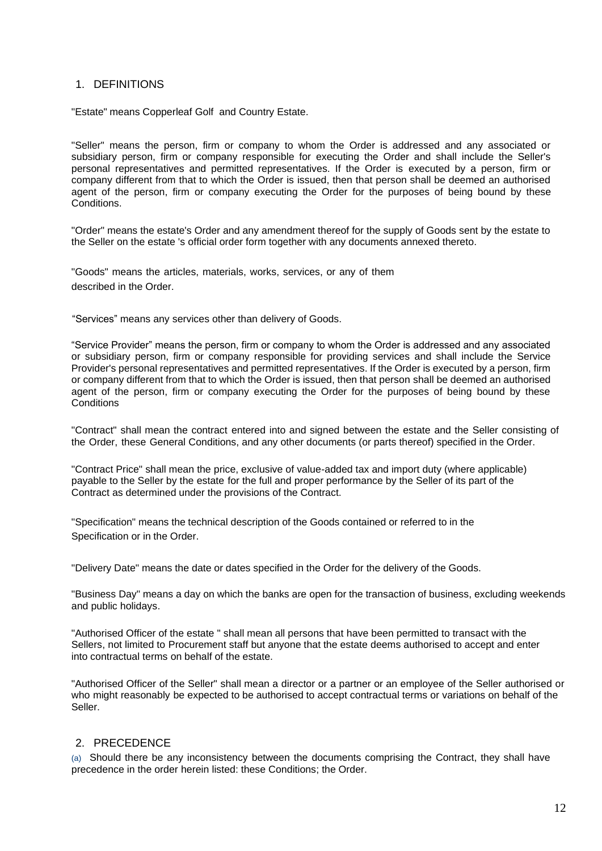#### 1. DEFINITIONS

"Estate" means Copperleaf Golf and Country Estate.

"Seller" means the person, firm or company to whom the Order is addressed and any associated or subsidiary person, firm or company responsible for executing the Order and shall include the Seller's personal representatives and permitted representatives. If the Order is executed by a person, firm or company different from that to which the Order is issued, then that person shall be deemed an authorised agent of the person, firm or company executing the Order for the purposes of being bound by these Conditions.

"Order" means the estate's Order and any amendment thereof for the supply of Goods sent by the estate to the Seller on the estate 's official order form together with any documents annexed thereto.

"Goods" means the articles, materials, works, services, or any of them described in the Order.

"Services" means any services other than delivery of Goods.

"Service Provider" means the person, firm or company to whom the Order is addressed and any associated or subsidiary person, firm or company responsible for providing services and shall include the Service Provider's personal representatives and permitted representatives. If the Order is executed by a person, firm or company different from that to which the Order is issued, then that person shall be deemed an authorised agent of the person, firm or company executing the Order for the purposes of being bound by these **Conditions** 

"Contract" shall mean the contract entered into and signed between the estate and the Seller consisting of the Order, these General Conditions, and any other documents (or parts thereof) specified in the Order.

"Contract Price" shall mean the price, exclusive of value-added tax and import duty (where applicable) payable to the Seller by the estate for the full and proper performance by the Seller of its part of the Contract as determined under the provisions of the Contract.

"Specification" means the technical description of the Goods contained or referred to in the Specification or in the Order.

"Delivery Date" means the date or dates specified in the Order for the delivery of the Goods.

"Business Day" means a day on which the banks are open for the transaction of business, excluding weekends and public holidays.

"Authorised Officer of the estate " shall mean all persons that have been permitted to transact with the Sellers, not limited to Procurement staff but anyone that the estate deems authorised to accept and enter into contractual terms on behalf of the estate.

"Authorised Officer of the Seller" shall mean a director or a partner or an employee of the Seller authorised or who might reasonably be expected to be authorised to accept contractual terms or variations on behalf of the Seller.

#### 2. PRECEDENCE

(a) Should there be any inconsistency between the documents comprising the Contract, they shall have precedence in the order herein listed: these Conditions; the Order.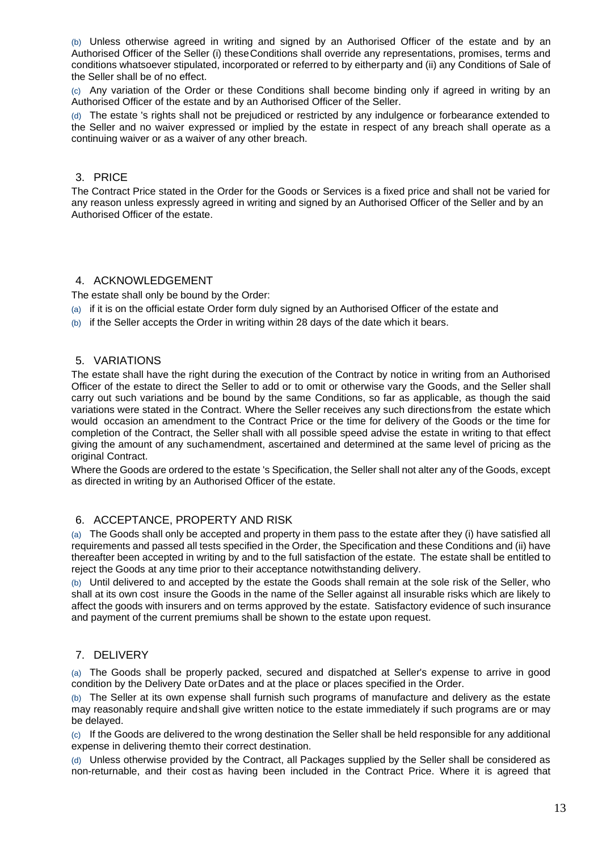(b) Unless otherwise agreed in writing and signed by an Authorised Officer of the estate and by an Authorised Officer of the Seller (i) theseConditions shall override any representations, promises, terms and conditions whatsoever stipulated, incorporated or referred to by eitherparty and (ii) any Conditions of Sale of the Seller shall be of no effect.

(c) Any variation of the Order or these Conditions shall become binding only if agreed in writing by an Authorised Officer of the estate and by an Authorised Officer of the Seller.

(d) The estate 's rights shall not be prejudiced or restricted by any indulgence or forbearance extended to the Seller and no waiver expressed or implied by the estate in respect of any breach shall operate as a continuing waiver or as a waiver of any other breach.

#### 3. PRICE

The Contract Price stated in the Order for the Goods or Services is a fixed price and shall not be varied for any reason unless expressly agreed in writing and signed by an Authorised Officer of the Seller and by an Authorised Officer of the estate.

#### 4. ACKNOWLEDGEMENT

The estate shall only be bound by the Order:

- (a) if it is on the official estate Order form duly signed by an Authorised Officer of the estate and
- (b) if the Seller accepts the Order in writing within 28 days of the date which it bears.

#### 5. VARIATIONS

The estate shall have the right during the execution of the Contract by notice in writing from an Authorised Officer of the estate to direct the Seller to add or to omit or otherwise vary the Goods, and the Seller shall carry out such variations and be bound by the same Conditions, so far as applicable, as though the said variations were stated in the Contract. Where the Seller receives any such directionsfrom the estate which would occasion an amendment to the Contract Price or the time for delivery of the Goods or the time for completion of the Contract, the Seller shall with all possible speed advise the estate in writing to that effect giving the amount of any suchamendment, ascertained and determined at the same level of pricing as the original Contract.

Where the Goods are ordered to the estate 's Specification, the Seller shall not alter any of the Goods, except as directed in writing by an Authorised Officer of the estate.

### 6. ACCEPTANCE, PROPERTY AND RISK

(a) The Goods shall only be accepted and property in them pass to the estate after they (i) have satisfied all requirements and passed all tests specified in the Order, the Specification and these Conditions and (ii) have thereafter been accepted in writing by and to the full satisfaction of the estate. The estate shall be entitled to reject the Goods at any time prior to their acceptance notwithstanding delivery.

(b) Until delivered to and accepted by the estate the Goods shall remain at the sole risk of the Seller, who shall at its own cost insure the Goods in the name of the Seller against all insurable risks which are likely to affect the goods with insurers and on terms approved by the estate. Satisfactory evidence of such insurance and payment of the current premiums shall be shown to the estate upon request.

#### 7. DELIVERY

(a) The Goods shall be properly packed, secured and dispatched at Seller's expense to arrive in good condition by the Delivery Date orDates and at the place or places specified in the Order.

(b) The Seller at its own expense shall furnish such programs of manufacture and delivery as the estate may reasonably require andshall give written notice to the estate immediately if such programs are or may be delayed.

(c) If the Goods are delivered to the wrong destination the Seller shall be held responsible for any additional expense in delivering themto their correct destination.

(d) Unless otherwise provided by the Contract, all Packages supplied by the Seller shall be considered as non-returnable, and their cost as having been included in the Contract Price. Where it is agreed that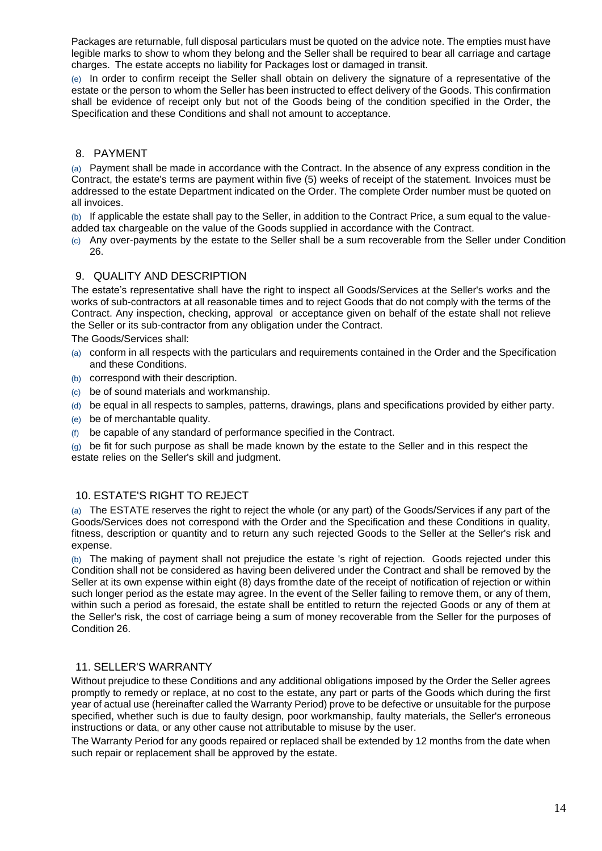Packages are returnable, full disposal particulars must be quoted on the advice note. The empties must have legible marks to show to whom they belong and the Seller shall be required to bear all carriage and cartage charges. The estate accepts no liability for Packages lost or damaged in transit.

(e) In order to confirm receipt the Seller shall obtain on delivery the signature of a representative of the estate or the person to whom the Seller has been instructed to effect delivery of the Goods. This confirmation shall be evidence of receipt only but not of the Goods being of the condition specified in the Order, the Specification and these Conditions and shall not amount to acceptance.

### 8. PAYMENT

(a) Payment shall be made in accordance with the Contract. In the absence of any express condition in the Contract, the estate's terms are payment within five (5) weeks of receipt of the statement. Invoices must be addressed to the estate Department indicated on the Order. The complete Order number must be quoted on all invoices.

(b) If applicable the estate shall pay to the Seller, in addition to the Contract Price, a sum equal to the valueadded tax chargeable on the value of the Goods supplied in accordance with the Contract.

(c) Any over-payments by the estate to the Seller shall be a sum recoverable from the Seller under Condition 26.

#### 9. QUALITY AND DESCRIPTION

The estate's representative shall have the right to inspect all Goods/Services at the Seller's works and the works of sub-contractors at all reasonable times and to reject Goods that do not comply with the terms of the Contract. Any inspection, checking, approval or acceptance given on behalf of the estate shall not relieve the Seller or its sub-contractor from any obligation under the Contract.

The Goods/Services shall:

- (a) conform in all respects with the particulars and requirements contained in the Order and the Specification and these Conditions.
- (b) correspond with their description.
- (c) be of sound materials and workmanship.
- (d) be equal in all respects to samples, patterns, drawings, plans and specifications provided by either party.
- (e) be of merchantable quality.
- (f) be capable of any standard of performance specified in the Contract.

(g) be fit for such purpose as shall be made known by the estate to the Seller and in this respect the estate relies on the Seller's skill and judgment.

#### 10. ESTATE'S RIGHT TO REJECT

(a) The ESTATE reserves the right to reject the whole (or any part) of the Goods/Services if any part of the Goods/Services does not correspond with the Order and the Specification and these Conditions in quality, fitness, description or quantity and to return any such rejected Goods to the Seller at the Seller's risk and expense.

(b) The making of payment shall not prejudice the estate 's right of rejection. Goods rejected under this Condition shall not be considered as having been delivered under the Contract and shall be removed by the Seller at its own expense within eight (8) days fromthe date of the receipt of notification of rejection or within such longer period as the estate may agree. In the event of the Seller failing to remove them, or any of them, within such a period as foresaid, the estate shall be entitled to return the rejected Goods or any of them at the Seller's risk, the cost of carriage being a sum of money recoverable from the Seller for the purposes of Condition 26.

#### 11. SELLER'S WARRANTY

Without prejudice to these Conditions and any additional obligations imposed by the Order the Seller agrees promptly to remedy or replace, at no cost to the estate, any part or parts of the Goods which during the first year of actual use (hereinafter called the Warranty Period) prove to be defective or unsuitable for the purpose specified, whether such is due to faulty design, poor workmanship, faulty materials, the Seller's erroneous instructions or data, or any other cause not attributable to misuse by the user.

The Warranty Period for any goods repaired or replaced shall be extended by 12 months from the date when such repair or replacement shall be approved by the estate.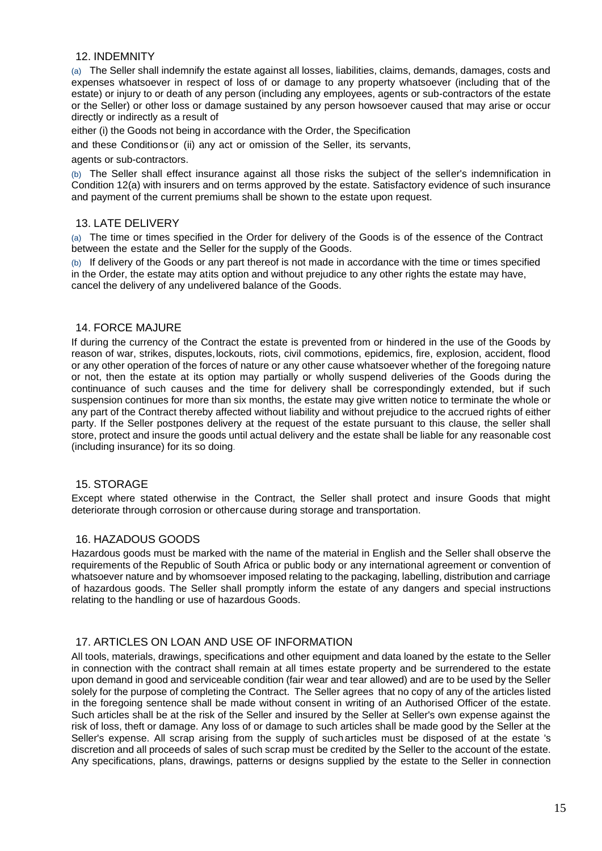#### 12. INDEMNITY

(a) The Seller shall indemnify the estate against all losses, liabilities, claims, demands, damages, costs and expenses whatsoever in respect of loss of or damage to any property whatsoever (including that of the estate) or injury to or death of any person (including any employees, agents or sub-contractors of the estate or the Seller) or other loss or damage sustained by any person howsoever caused that may arise or occur directly or indirectly as a result of

either (i) the Goods not being in accordance with the Order, the Specification

and these Conditionsor (ii) any act or omission of the Seller, its servants,

agents or sub-contractors.

(b) The Seller shall effect insurance against all those risks the subject of the seller's indemnification in Condition 12(a) with insurers and on terms approved by the estate. Satisfactory evidence of such insurance and payment of the current premiums shall be shown to the estate upon request.

#### 13. LATE DELIVERY

(a) The time or times specified in the Order for delivery of the Goods is of the essence of the Contract between the estate and the Seller for the supply of the Goods.

(b) If delivery of the Goods or any part thereof is not made in accordance with the time or times specified in the Order, the estate may atits option and without prejudice to any other rights the estate may have, cancel the delivery of any undelivered balance of the Goods.

#### 14. FORCE MAJURE

If during the currency of the Contract the estate is prevented from or hindered in the use of the Goods by reason of war, strikes, disputes,lockouts, riots, civil commotions, epidemics, fire, explosion, accident, flood or any other operation of the forces of nature or any other cause whatsoever whether of the foregoing nature or not, then the estate at its option may partially or wholly suspend deliveries of the Goods during the continuance of such causes and the time for delivery shall be correspondingly extended, but if such suspension continues for more than six months, the estate may give written notice to terminate the whole or any part of the Contract thereby affected without liability and without prejudice to the accrued rights of either party. If the Seller postpones delivery at the request of the estate pursuant to this clause, the seller shall store, protect and insure the goods until actual delivery and the estate shall be liable for any reasonable cost (including insurance) for its so doing.

### 15. STORAGE

Except where stated otherwise in the Contract, the Seller shall protect and insure Goods that might deteriorate through corrosion or othercause during storage and transportation.

#### 16. HAZADOUS GOODS

Hazardous goods must be marked with the name of the material in English and the Seller shall observe the requirements of the Republic of South Africa or public body or any international agreement or convention of whatsoever nature and by whomsoever imposed relating to the packaging, labelling, distribution and carriage of hazardous goods. The Seller shall promptly inform the estate of any dangers and special instructions relating to the handling or use of hazardous Goods.

#### 17. ARTICLES ON LOAN AND USE OF INFORMATION

All tools, materials, drawings, specifications and other equipment and data loaned by the estate to the Seller in connection with the contract shall remain at all times estate property and be surrendered to the estate upon demand in good and serviceable condition (fair wear and tear allowed) and are to be used by the Seller solely for the purpose of completing the Contract. The Seller agrees that no copy of any of the articles listed in the foregoing sentence shall be made without consent in writing of an Authorised Officer of the estate. Such articles shall be at the risk of the Seller and insured by the Seller at Seller's own expense against the risk of loss, theft or damage. Any loss of or damage to such articles shall be made good by the Seller at the Seller's expense. All scrap arising from the supply of sucharticles must be disposed of at the estate 's discretion and all proceeds of sales of such scrap must be credited by the Seller to the account of the estate. Any specifications, plans, drawings, patterns or designs supplied by the estate to the Seller in connection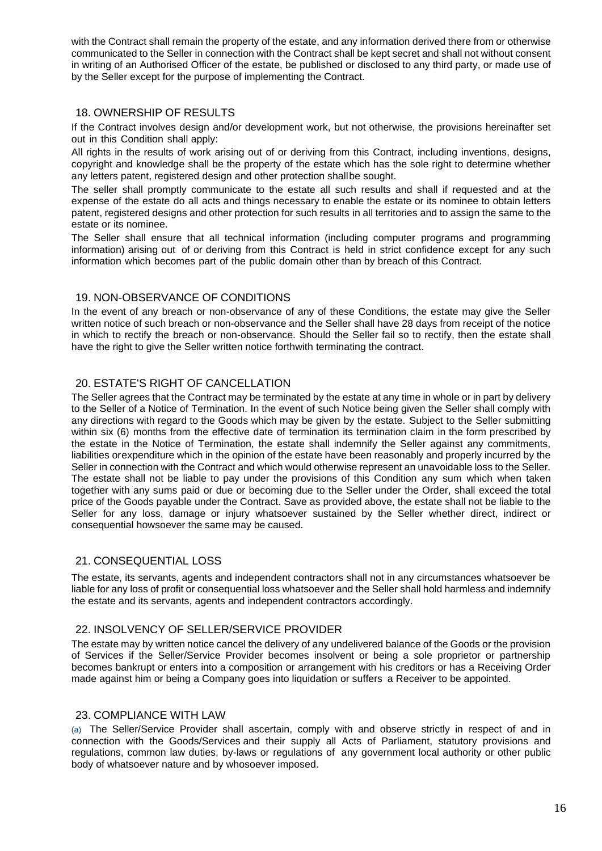with the Contract shall remain the property of the estate, and any information derived there from or otherwise communicated to the Seller in connection with the Contract shall be kept secret and shall not without consent in writing of an Authorised Officer of the estate, be published or disclosed to any third party, or made use of by the Seller except for the purpose of implementing the Contract.

#### 18. OWNERSHIP OF RESULTS

If the Contract involves design and/or development work, but not otherwise, the provisions hereinafter set out in this Condition shall apply:

All rights in the results of work arising out of or deriving from this Contract, including inventions, designs, copyright and knowledge shall be the property of the estate which has the sole right to determine whether any letters patent, registered design and other protection shallbe sought.

The seller shall promptly communicate to the estate all such results and shall if requested and at the expense of the estate do all acts and things necessary to enable the estate or its nominee to obtain letters patent, registered designs and other protection for such results in all territories and to assign the same to the estate or its nominee.

The Seller shall ensure that all technical information (including computer programs and programming information) arising out of or deriving from this Contract is held in strict confidence except for any such information which becomes part of the public domain other than by breach of this Contract.

### 19. NON-OBSERVANCE OF CONDITIONS

In the event of any breach or non-observance of any of these Conditions, the estate may give the Seller written notice of such breach or non-observance and the Seller shall have 28 days from receipt of the notice in which to rectify the breach or non-observance. Should the Seller fail so to rectify, then the estate shall have the right to give the Seller written notice forthwith terminating the contract.

### 20. ESTATE'S RIGHT OF CANCELLATION

The Seller agrees that the Contract may be terminated by the estate at any time in whole or in part by delivery to the Seller of a Notice of Termination. In the event of such Notice being given the Seller shall comply with any directions with regard to the Goods which may be given by the estate. Subject to the Seller submitting within six (6) months from the effective date of termination its termination claim in the form prescribed by the estate in the Notice of Termination, the estate shall indemnify the Seller against any commitments, liabilities orexpenditure which in the opinion of the estate have been reasonably and properly incurred by the Seller in connection with the Contract and which would otherwise represent an unavoidable loss to the Seller. The estate shall not be liable to pay under the provisions of this Condition any sum which when taken together with any sums paid or due or becoming due to the Seller under the Order, shall exceed the total price of the Goods payable under the Contract. Save as provided above, the estate shall not be liable to the Seller for any loss, damage or injury whatsoever sustained by the Seller whether direct, indirect or consequential howsoever the same may be caused.

## 21. CONSEQUENTIAL LOSS

The estate, its servants, agents and independent contractors shall not in any circumstances whatsoever be liable for any loss of profit or consequential loss whatsoever and the Seller shall hold harmless and indemnify the estate and its servants, agents and independent contractors accordingly.

### 22. INSOLVENCY OF SELLER/SERVICE PROVIDER

The estate may by written notice cancel the delivery of any undelivered balance of the Goods or the provision of Services if the Seller/Service Provider becomes insolvent or being a sole proprietor or partnership becomes bankrupt or enters into a composition or arrangement with his creditors or has a Receiving Order made against him or being a Company goes into liquidation or suffers a Receiver to be appointed.

### 23. COMPLIANCE WITH LAW

(a) The Seller/Service Provider shall ascertain, comply with and observe strictly in respect of and in connection with the Goods/Services and their supply all Acts of Parliament, statutory provisions and regulations, common law duties, by-laws or regulations of any government local authority or other public body of whatsoever nature and by whosoever imposed.